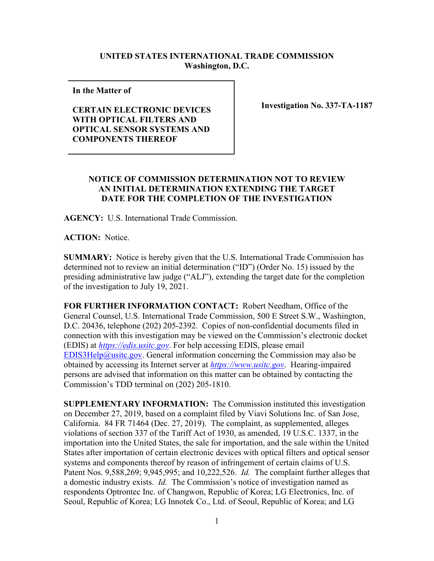## **UNITED STATES INTERNATIONAL TRADE COMMISSION Washington, D.C.**

**In the Matter of** 

**CERTAIN ELECTRONIC DEVICES WITH OPTICAL FILTERS AND OPTICAL SENSOR SYSTEMS AND COMPONENTS THEREOF**

**Investigation No. 337-TA-1187**

## **NOTICE OF COMMISSION DETERMINATION NOT TO REVIEW AN INITIAL DETERMINATION EXTENDING THE TARGET DATE FOR THE COMPLETION OF THE INVESTIGATION**

**AGENCY:** U.S. International Trade Commission.

**ACTION:** Notice.

**SUMMARY:** Notice is hereby given that the U.S. International Trade Commission has determined not to review an initial determination ("ID") (Order No. 15) issued by the presiding administrative law judge ("ALJ"), extending the target date for the completion of the investigation to July 19, 2021.

**FOR FURTHER INFORMATION CONTACT:** Robert Needham, Office of the General Counsel, U.S. International Trade Commission, 500 E Street S.W., Washington, D.C. 20436, telephone (202) 205-2392. Copies of non-confidential documents filed in connection with this investigation may be viewed on the Commission's electronic docket (EDIS) at *[https://edis.usitc.gov](https://edis.usitc.gov/)*. For help accessing EDIS, please email [EDIS3Help@usitc.gov.](mailto:EDIS3Help@usitc.gov) General information concerning the Commission may also be obtained by accessing its Internet server at *[https://www.usitc.gov](https://www.usitc.gov/)*. Hearing-impaired persons are advised that information on this matter can be obtained by contacting the Commission's TDD terminal on (202) 205-1810.

**SUPPLEMENTARY INFORMATION:** The Commission instituted this investigation on December 27, 2019, based on a complaint filed by Viavi Solutions Inc. of San Jose, California. 84 FR 71464 (Dec. 27, 2019). The complaint, as supplemented, alleges violations of section 337 of the Tariff Act of 1930, as amended, 19 U.S.C. 1337, in the importation into the United States, the sale for importation, and the sale within the United States after importation of certain electronic devices with optical filters and optical sensor systems and components thereof by reason of infringement of certain claims of U.S. Patent Nos. 9,588,269; 9,945,995; and 10,222,526. *Id.* The complaint further alleges that a domestic industry exists. *Id.* The Commission's notice of investigation named as respondents Optrontec Inc. of Changwon, Republic of Korea; LG Electronics, Inc. of Seoul, Republic of Korea; LG Innotek Co., Ltd. of Seoul, Republic of Korea; and LG